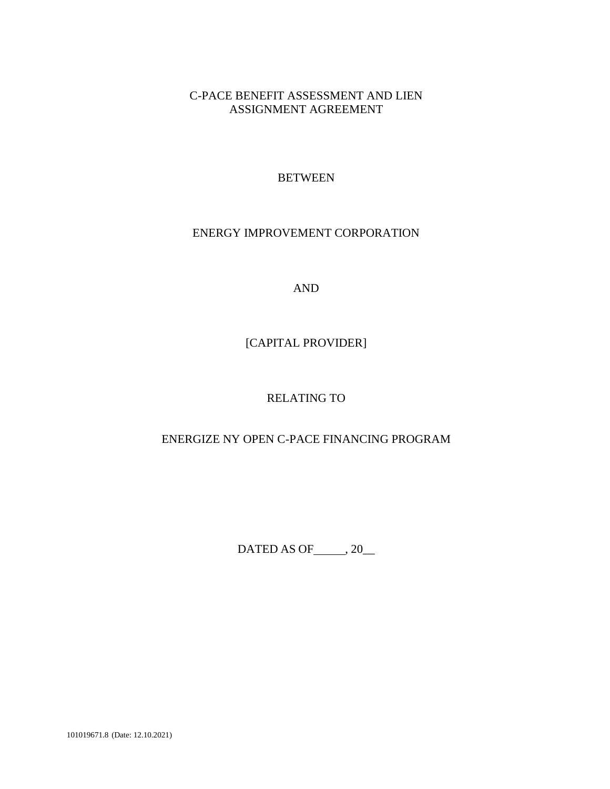# C-PACE BENEFIT ASSESSMENT AND LIEN ASSIGNMENT AGREEMENT

## **BETWEEN**

### ENERGY IMPROVEMENT CORPORATION

AND

# [CAPITAL PROVIDER]

# RELATING TO

## ENERGIZE NY OPEN C-PACE FINANCING PROGRAM

DATED AS OF  $\_\_\$ , 20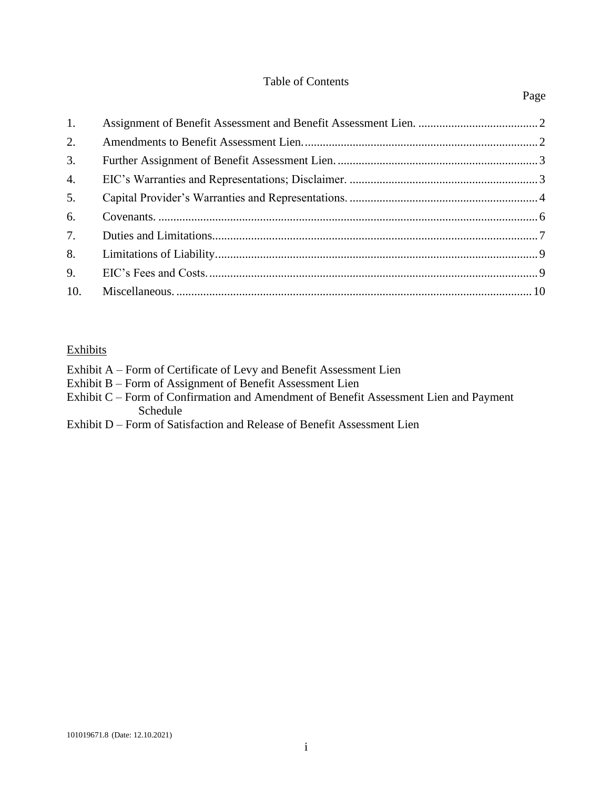### Table of Contents

### Page

| 1.  |  |
|-----|--|
| 2.  |  |
| 3.  |  |
| 4.  |  |
| 5.  |  |
| 6.  |  |
| 7.  |  |
| 8.  |  |
| 9.  |  |
| 10. |  |

### **Exhibits**

- Exhibit B Form of Assignment of Benefit Assessment Lien
- Exhibit C Form of Confirmation and Amendment of Benefit Assessment Lien and Payment Schedule
- Exhibit D Form of Satisfaction and Release of Benefit Assessment Lien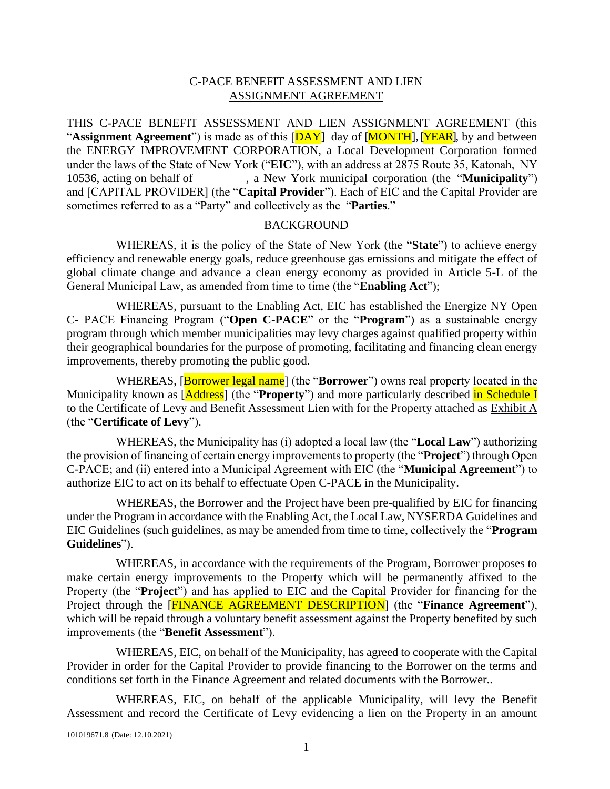#### C-PACE BENEFIT ASSESSMENT AND LIEN ASSIGNMENT AGREEMENT

THIS C-PACE BENEFIT ASSESSMENT AND LIEN ASSIGNMENT AGREEMENT (this "**Assignment Agreement**") is made as of this [DAY] day of [MONTH], [YEAR], by and between the ENERGY IMPROVEMENT CORPORATION, a Local Development Corporation formed under the laws of the State of New York ("**EIC**"), with an address at 2875 Route 35, Katonah, NY 10536, acting on behalf of , a New York municipal corporation (the "**Municipality**") and [CAPITAL PROVIDER] (the "**Capital Provider**"). Each of EIC and the Capital Provider are sometimes referred to as a "Party" and collectively as the "**Parties**."

#### BACKGROUND

WHEREAS, it is the policy of the State of New York (the "**State**") to achieve energy efficiency and renewable energy goals, reduce greenhouse gas emissions and mitigate the effect of global climate change and advance a clean energy economy as provided in Article 5-L of the General Municipal Law, as amended from time to time (the "**Enabling Act**");

WHEREAS, pursuant to the Enabling Act, EIC has established the Energize NY Open C- PACE Financing Program ("**Open C-PACE**" or the "**Program**") as a sustainable energy program through which member municipalities may levy charges against qualified property within their geographical boundaries for the purpose of promoting, facilitating and financing clean energy improvements, thereby promoting the public good.

WHEREAS, [Borrower legal name] (the "**Borrower**") owns real property located in the Municipality known as [Address] (the "Property") and more particularly described in Schedule I to the Certificate of Levy and Benefit Assessment Lien with for the Property attached as Exhibit A (the "**Certificate of Levy**").

WHEREAS, the Municipality has (i) adopted a local law (the "**Local Law**") authorizing the provision of financing of certain energy improvements to property (the "**Project**") through Open C-PACE; and (ii) entered into a Municipal Agreement with EIC (the "**Municipal Agreement**") to authorize EIC to act on its behalf to effectuate Open C-PACE in the Municipality.

WHEREAS, the Borrower and the Project have been pre-qualified by EIC for financing under the Program in accordance with the Enabling Act, the Local Law, NYSERDA Guidelines and EIC Guidelines (such guidelines, as may be amended from time to time, collectively the "**Program Guidelines**").

WHEREAS, in accordance with the requirements of the Program, Borrower proposes to make certain energy improvements to the Property which will be permanently affixed to the Property (the "**Project**") and has applied to EIC and the Capital Provider for financing for the Project through the [FINANCE AGREEMENT DESCRIPTION] (the "**Finance Agreement**"), which will be repaid through a voluntary benefit assessment against the Property benefited by such improvements (the "**Benefit Assessment**").

WHEREAS, EIC, on behalf of the Municipality, has agreed to cooperate with the Capital Provider in order for the Capital Provider to provide financing to the Borrower on the terms and conditions set forth in the Finance Agreement and related documents with the Borrower..

WHEREAS, EIC, on behalf of the applicable Municipality, will levy the Benefit Assessment and record the Certificate of Levy evidencing a lien on the Property in an amount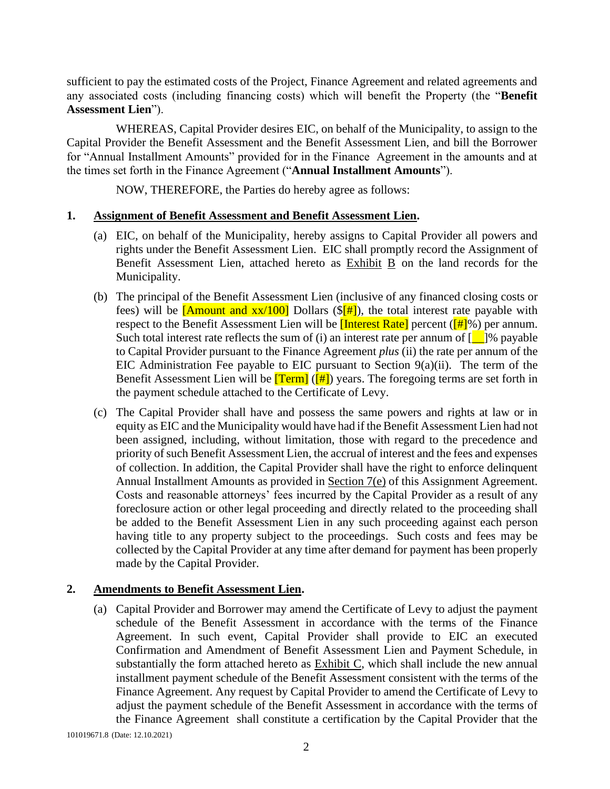sufficient to pay the estimated costs of the Project, Finance Agreement and related agreements and any associated costs (including financing costs) which will benefit the Property (the "**Benefit Assessment Lien**").

WHEREAS, Capital Provider desires EIC, on behalf of the Municipality, to assign to the Capital Provider the Benefit Assessment and the Benefit Assessment Lien, and bill the Borrower for "Annual Installment Amounts" provided for in the Finance Agreement in the amounts and at the times set forth in the Finance Agreement ("**Annual Installment Amounts**").

NOW, THEREFORE, the Parties do hereby agree as follows:

#### <span id="page-3-0"></span>**1. Assignment of Benefit Assessment and Benefit Assessment Lien.**

- (a) EIC, on behalf of the Municipality, hereby assigns to Capital Provider all powers and rights under the Benefit Assessment Lien. EIC shall promptly record the Assignment of Benefit Assessment Lien, attached hereto as Exhibit B on the land records for the Municipality.
- <span id="page-3-2"></span>(b) The principal of the Benefit Assessment Lien (inclusive of any financed closing costs or fees) will be [Amount and  $xx/100$ ] Dollars ( $\frac{[ #]}{[ #]}$ ), the total interest rate payable with respect to the Benefit Assessment Lien will be **[Interest Rate]** percent ( $\left[\frac{\text{#1}}{\text{#1}}\right)$  per annum. Such total interest rate reflects the sum of (i) an interest rate per annum of  $\lceil \cdot \rceil$ % payable to Capital Provider pursuant to the Finance Agreement *plus* (ii) the rate per annum of the EIC Administration Fee payable to EIC pursuant to Section  $9(a)(ii)$ . The term of the Benefit Assessment Lien will be  $[Term]$  ( $[#]$ ) years. The foregoing terms are set forth in the payment schedule attached to the Certificate of Levy.
- (c) The Capital Provider shall have and possess the same powers and rights at law or in equity as EIC and the Municipality would have had if the Benefit Assessment Lien had not been assigned, including, without limitation, those with regard to the precedence and priority of such Benefit Assessment Lien, the accrual of interest and the fees and expenses of collection. In addition, the Capital Provider shall have the right to enforce delinquent Annual Installment Amounts as provided in Section 7(e) of this Assignment Agreement. Costs and reasonable attorneys' fees incurred by the Capital Provider as a result of any foreclosure action or other legal proceeding and directly related to the proceeding shall be added to the Benefit Assessment Lien in any such proceeding against each person having title to any property subject to the proceedings. Such costs and fees may be collected by the Capital Provider at any time after demand for payment has been properly made by the Capital Provider.

#### <span id="page-3-1"></span>**2. Amendments to Benefit Assessment Lien.**

(a) Capital Provider and Borrower may amend the Certificate of Levy to adjust the payment schedule of the Benefit Assessment in accordance with the terms of the Finance Agreement. In such event, Capital Provider shall provide to EIC an executed Confirmation and Amendment of Benefit Assessment Lien and Payment Schedule, in substantially the form attached hereto as Exhibit C, which shall include the new annual installment payment schedule of the Benefit Assessment consistent with the terms of the Finance Agreement. Any request by Capital Provider to amend the Certificate of Levy to adjust the payment schedule of the Benefit Assessment in accordance with the terms of the Finance Agreement shall constitute a certification by the Capital Provider that the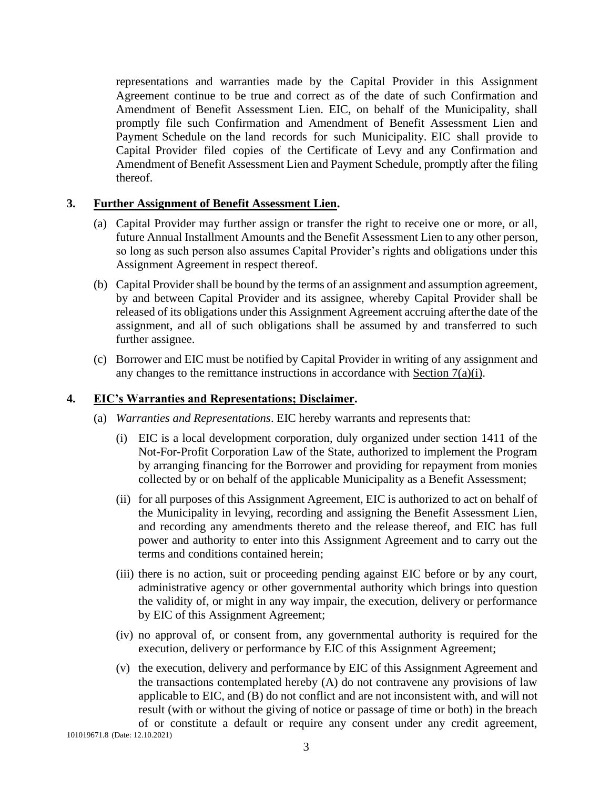representations and warranties made by the Capital Provider in this Assignment Agreement continue to be true and correct as of the date of such Confirmation and Amendment of Benefit Assessment Lien. EIC, on behalf of the Municipality, shall promptly file such Confirmation and Amendment of Benefit Assessment Lien and Payment Schedule on the land records for such Municipality. EIC shall provide to Capital Provider filed copies of the Certificate of Levy and any Confirmation and Amendment of Benefit Assessment Lien and Payment Schedule, promptly after the filing thereof.

### <span id="page-4-0"></span>**3. Further Assignment of Benefit Assessment Lien.**

- (a) Capital Provider may further assign or transfer the right to receive one or more, or all, future Annual Installment Amounts and the Benefit Assessment Lien to any other person, so long as such person also assumes Capital Provider's rights and obligations under this Assignment Agreement in respect thereof.
- (b) Capital Provider shall be bound by the terms of an assignment and assumption agreement, by and between Capital Provider and its assignee, whereby Capital Provider shall be released of its obligations under this Assignment Agreement accruing afterthe date of the assignment, and all of such obligations shall be assumed by and transferred to such further assignee.
- (c) Borrower and EIC must be notified by Capital Provider in writing of any assignment and any changes to the remittance instructions in accordance with Section [7\(a\)\(i\).](#page-8-1)

## <span id="page-4-1"></span>**4. EIC's Warranties and Representations; Disclaimer.**

- (a) *Warranties and Representations*. EIC hereby warrants and represents that:
	- (i) EIC is a local development corporation, duly organized under section 1411 of the Not-For-Profit Corporation Law of the State, authorized to implement the Program by arranging financing for the Borrower and providing for repayment from monies collected by or on behalf of the applicable Municipality as a Benefit Assessment;
	- (ii) for all purposes of this Assignment Agreement, EIC is authorized to act on behalf of the Municipality in levying, recording and assigning the Benefit Assessment Lien, and recording any amendments thereto and the release thereof, and EIC has full power and authority to enter into this Assignment Agreement and to carry out the terms and conditions contained herein;
	- (iii) there is no action, suit or proceeding pending against EIC before or by any court, administrative agency or other governmental authority which brings into question the validity of, or might in any way impair, the execution, delivery or performance by EIC of this Assignment Agreement;
	- (iv) no approval of, or consent from, any governmental authority is required for the execution, delivery or performance by EIC of this Assignment Agreement;
	- (v) the execution, delivery and performance by EIC of this Assignment Agreement and the transactions contemplated hereby (A) do not contravene any provisions of law applicable to EIC, and (B) do not conflict and are not inconsistent with, and will not result (with or without the giving of notice or passage of time or both) in the breach of or constitute a default or require any consent under any credit agreement,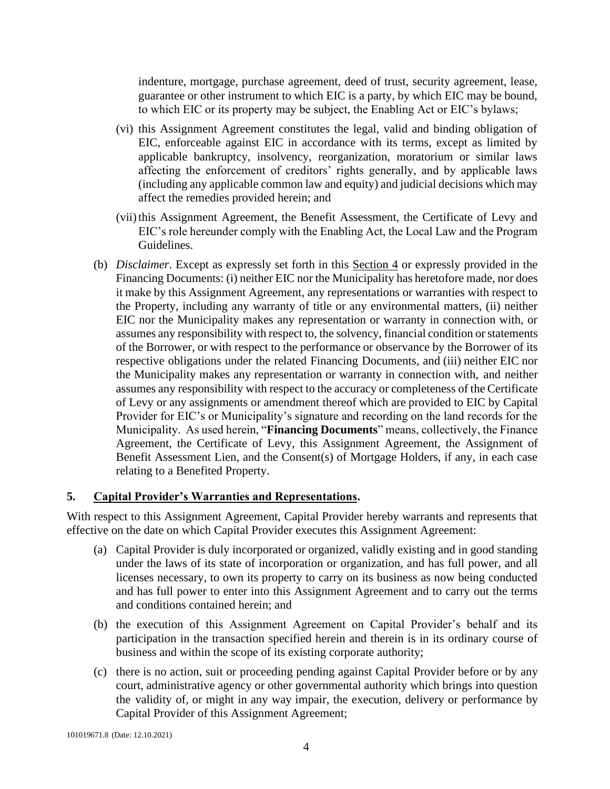indenture, mortgage, purchase agreement, deed of trust, security agreement, lease, guarantee or other instrument to which EIC is a party, by which EIC may be bound, to which EIC or its property may be subject, the Enabling Act or EIC's bylaws;

- (vi) this Assignment Agreement constitutes the legal, valid and binding obligation of EIC, enforceable against EIC in accordance with its terms, except as limited by applicable bankruptcy, insolvency, reorganization, moratorium or similar laws affecting the enforcement of creditors' rights generally, and by applicable laws (including any applicable common law and equity) and judicial decisions which may affect the remedies provided herein; and
- (vii) this Assignment Agreement, the Benefit Assessment, the Certificate of Levy and EIC's role hereunder comply with the Enabling Act, the Local Law and the Program Guidelines.
- (b) *Disclaimer*. Except as expressly set forth in this Section 4 or expressly provided in the Financing Documents: (i) neither EIC nor the Municipality has heretofore made, nor does it make by this Assignment Agreement, any representations or warranties with respect to the Property, including any warranty of title or any environmental matters, (ii) neither EIC nor the Municipality makes any representation or warranty in connection with, or assumes any responsibility with respect to, the solvency, financial condition orstatements of the Borrower, or with respect to the performance or observance by the Borrower of its respective obligations under the related Financing Documents, and (iii) neither EIC nor the Municipality makes any representation or warranty in connection with, and neither assumes any responsibility with respect to the accuracy or completeness of the Certificate of Levy or any assignments or amendment thereof which are provided to EIC by Capital Provider for EIC's or Municipality's signature and recording on the land records for the Municipality. As used herein, "**Financing Documents**" means, collectively, the Finance Agreement, the Certificate of Levy, this Assignment Agreement, the Assignment of Benefit Assessment Lien, and the Consent(s) of Mortgage Holders, if any, in each case relating to a Benefited Property.

#### <span id="page-5-0"></span>**5. Capital Provider's Warranties and Representations.**

With respect to this Assignment Agreement, Capital Provider hereby warrants and represents that effective on the date on which Capital Provider executes this Assignment Agreement:

- (a) Capital Provider is duly incorporated or organized, validly existing and in good standing under the laws of its state of incorporation or organization, and has full power, and all licenses necessary, to own its property to carry on its business as now being conducted and has full power to enter into this Assignment Agreement and to carry out the terms and conditions contained herein; and
- (b) the execution of this Assignment Agreement on Capital Provider's behalf and its participation in the transaction specified herein and therein is in its ordinary course of business and within the scope of its existing corporate authority;
- (c) there is no action, suit or proceeding pending against Capital Provider before or by any court, administrative agency or other governmental authority which brings into question the validity of, or might in any way impair, the execution, delivery or performance by Capital Provider of this Assignment Agreement;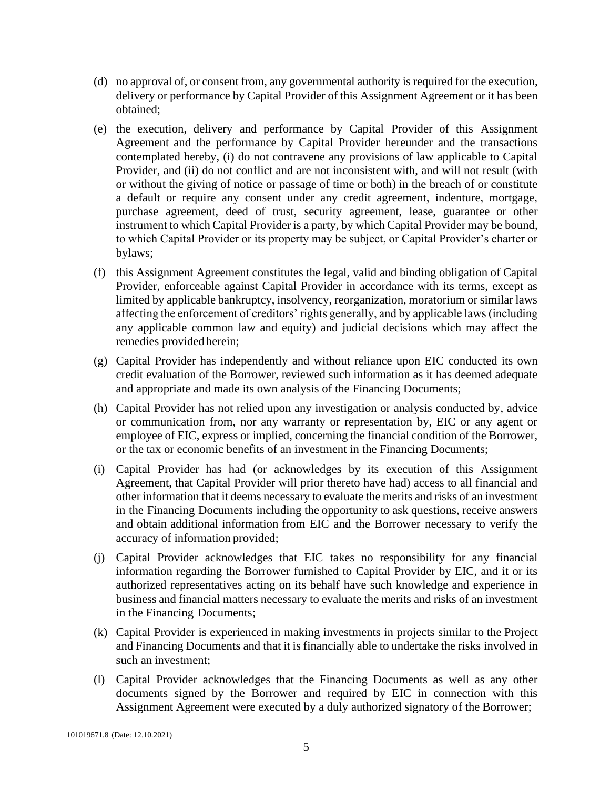- (d) no approval of, or consent from, any governmental authority is required for the execution, delivery or performance by Capital Provider of this Assignment Agreement or it has been obtained;
- (e) the execution, delivery and performance by Capital Provider of this Assignment Agreement and the performance by Capital Provider hereunder and the transactions contemplated hereby, (i) do not contravene any provisions of law applicable to Capital Provider, and (ii) do not conflict and are not inconsistent with, and will not result (with or without the giving of notice or passage of time or both) in the breach of or constitute a default or require any consent under any credit agreement, indenture, mortgage, purchase agreement, deed of trust, security agreement, lease, guarantee or other instrument to which Capital Provider is a party, by which Capital Provider may be bound, to which Capital Provider or its property may be subject, or Capital Provider's charter or bylaws;
- (f) this Assignment Agreement constitutes the legal, valid and binding obligation of Capital Provider, enforceable against Capital Provider in accordance with its terms, except as limited by applicable bankruptcy, insolvency, reorganization, moratorium or similar laws affecting the enforcement of creditors' rights generally, and by applicable laws (including any applicable common law and equity) and judicial decisions which may affect the remedies provided herein;
- (g) Capital Provider has independently and without reliance upon EIC conducted its own credit evaluation of the Borrower, reviewed such information as it has deemed adequate and appropriate and made its own analysis of the Financing Documents;
- (h) Capital Provider has not relied upon any investigation or analysis conducted by, advice or communication from, nor any warranty or representation by, EIC or any agent or employee of EIC, express or implied, concerning the financial condition of the Borrower, or the tax or economic benefits of an investment in the Financing Documents;
- (i) Capital Provider has had (or acknowledges by its execution of this Assignment Agreement, that Capital Provider will prior thereto have had) access to all financial and other information that it deems necessary to evaluate the merits and risks of an investment in the Financing Documents including the opportunity to ask questions, receive answers and obtain additional information from EIC and the Borrower necessary to verify the accuracy of information provided;
- (j) Capital Provider acknowledges that EIC takes no responsibility for any financial information regarding the Borrower furnished to Capital Provider by EIC, and it or its authorized representatives acting on its behalf have such knowledge and experience in business and financial matters necessary to evaluate the merits and risks of an investment in the Financing Documents;
- (k) Capital Provider is experienced in making investments in projects similar to the Project and Financing Documents and that it is financially able to undertake the risks involved in such an investment;
- (l) Capital Provider acknowledges that the Financing Documents as well as any other documents signed by the Borrower and required by EIC in connection with this Assignment Agreement were executed by a duly authorized signatory of the Borrower;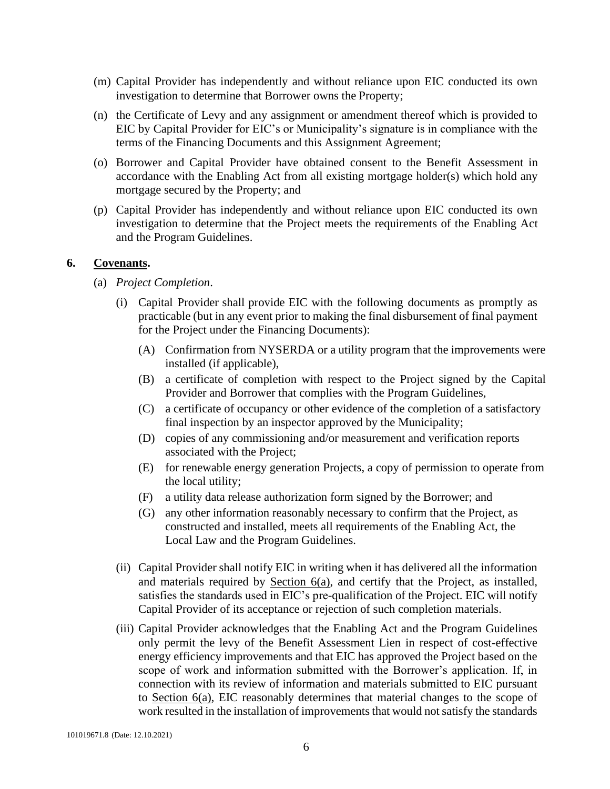- (m) Capital Provider has independently and without reliance upon EIC conducted its own investigation to determine that Borrower owns the Property;
- (n) the Certificate of Levy and any assignment or amendment thereof which is provided to EIC by Capital Provider for EIC's or Municipality's signature is in compliance with the terms of the Financing Documents and this Assignment Agreement;
- (o) Borrower and Capital Provider have obtained consent to the Benefit Assessment in accordance with the Enabling Act from all existing mortgage holder(s) which hold any mortgage secured by the Property; and
- (p) Capital Provider has independently and without reliance upon EIC conducted its own investigation to determine that the Project meets the requirements of the Enabling Act and the Program Guidelines.

#### <span id="page-7-1"></span><span id="page-7-0"></span>**6. Covenants.**

- (a) *Project Completion*.
	- (i) Capital Provider shall provide EIC with the following documents as promptly as practicable (but in any event prior to making the final disbursement of final payment for the Project under the Financing Documents):
		- (A) Confirmation from NYSERDA or a utility program that the improvements were installed (if applicable),
		- (B) a certificate of completion with respect to the Project signed by the Capital Provider and Borrower that complies with the Program Guidelines,
		- (C) a certificate of occupancy or other evidence of the completion of a satisfactory final inspection by an inspector approved by the Municipality;
		- (D) copies of any commissioning and/or measurement and verification reports associated with the Project;
		- (E) for renewable energy generation Projects, a copy of permission to operate from the local utility;
		- (F) a utility data release authorization form signed by the Borrower; and
		- (G) any other information reasonably necessary to confirm that the Project, as constructed and installed, meets all requirements of the Enabling Act, the Local Law and the Program Guidelines.
	- (ii) Capital Provider shall notify EIC in writing when it has delivered all the information and materials required by Section [6\(a\),](#page-7-1) and certify that the Project, as installed, satisfies the standards used in EIC's pre-qualification of the Project. EIC will notify Capital Provider of its acceptance or rejection of such completion materials.
	- (iii) Capital Provider acknowledges that the Enabling Act and the Program Guidelines only permit the levy of the Benefit Assessment Lien in respect of cost-effective energy efficiency improvements and that EIC has approved the Project based on the scope of work and information submitted with the Borrower's application. If, in connection with its review of information and materials submitted to EIC pursuant to Section [6\(a\),](#page-7-1) EIC reasonably determines that material changes to the scope of work resulted in the installation of improvements that would not satisfy the standards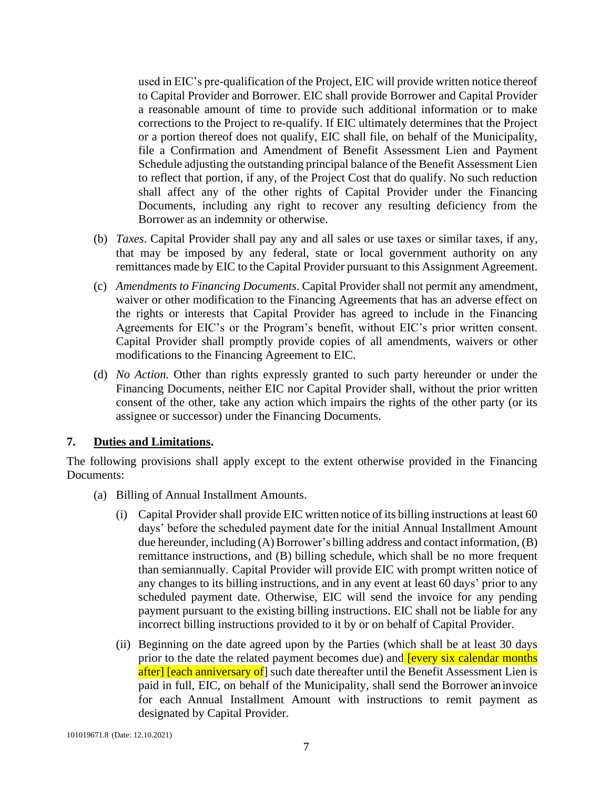used in EIC's pre-qualification of the Project, EIC will provide written notice thereof to Capital Provider and Borrower. EIC shall provide Borrower and Capital Provider a reasonable amount of time to provide such additional information or to make corrections to the Project to re-qualify. If EIC ultimately determines that the Project or a portion thereof does not qualify, EIC shall file, on behalf of the Municipality, file a Confirmation and Amendment of Benefit Assessment Lien and Payment Schedule adjusting the outstanding principal balance of the Benefit Assessment Lien to reflect that portion, if any, of the Project Cost that do qualify. No such reduction shall affect any of the other rights of Capital Provider under the Financing Documents, including any right to recover any resulting deficiency from the Borrower as an indemnity or otherwise.

- (b) *Taxes*. Capital Provider shall pay any and all sales or use taxes or similar taxes, if any, that may be imposed by any federal, state or local government authority on any remittances made by EIC to the Capital Provider pursuant to this Assignment Agreement.
- (c) *Amendments to Financing Documents*. Capital Provider shall not permit any amendment, waiver or other modification to the Financing Agreements that has an adverse effect on the rights or interests that Capital Provider has agreed to include in the Financing Agreements for EIC's or the Program's benefit, without EIC's prior written consent. Capital Provider shall promptly provide copies of all amendments, waivers or other modifications to the Financing Agreement to EIC.
- (d) *No Action.* Other than rights expressly granted to such party hereunder or under the Financing Documents, neither EIC nor Capital Provider shall, without the prior written consent of the other, take any action which impairs the rights of the other party (or its assignee or successor) under the Financing Documents.

#### <span id="page-8-0"></span>**7. Duties and Limitations.**

The following provisions shall apply except to the extent otherwise provided in the Financing Documents:

- <span id="page-8-2"></span><span id="page-8-1"></span>(a) Billing of Annual Installment Amounts.
	- (i) Capital Provider shall provide EIC written notice of its billing instructions at least 60 days' before the scheduled payment date for the initial Annual Installment Amount due hereunder, including  $(A)$  Borrower's billing address and contact information,  $(B)$ remittance instructions, and (B) billing schedule, which shall be no more frequent than semiannually. Capital Provider will provide EIC with prompt written notice of any changes to its billing instructions, and in any event at least 60 days' prior to any scheduled payment date. Otherwise, EIC will send the invoice for any pending payment pursuant to the existing billing instructions. EIC shall not be liable for any incorrect billing instructions provided to it by or on behalf of Capital Provider.
	- (ii) Beginning on the date agreed upon by the Parties (which shall be at least 30 days prior to the date the related payment becomes due) and **[every six calendar months** after] [each anniversary of] such date thereafter until the Benefit Assessment Lien is paid in full, EIC, on behalf of the Municipality, shall send the Borrower an invoice for each Annual Installment Amount with instructions to remit payment as designated by Capital Provider.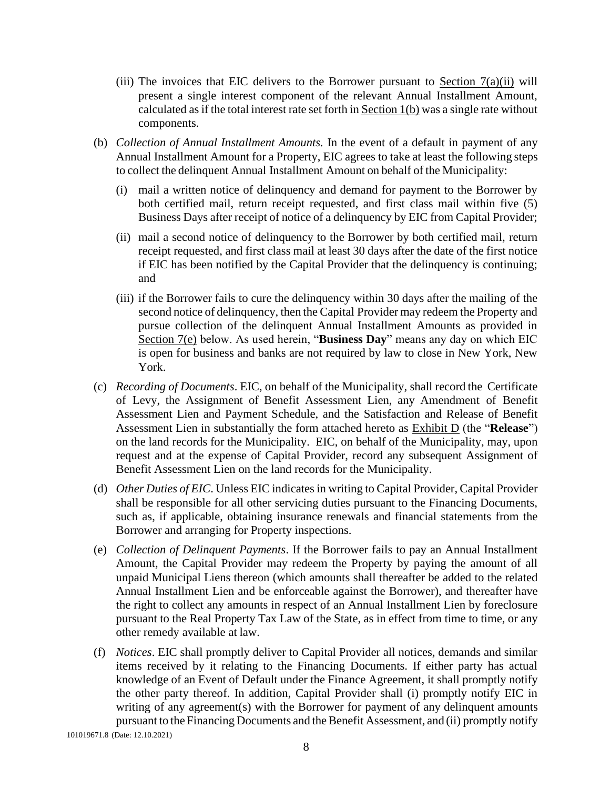- (iii) The invoices that EIC delivers to the Borrower pursuant to Section  $7(a)(ii)$  will present a single interest component of the relevant Annual Installment Amount, calculated as if the total interest rate set forth in  $Section 1(b)$  $Section 1(b)$  was a single rate without components.
- (b) *Collection of Annual Installment Amounts.* In the event of a default in payment of any Annual Installment Amount for a Property, EIC agrees to take at least the following steps to collect the delinquent Annual Installment Amount on behalf of the Municipality:
	- (i) mail a written notice of delinquency and demand for payment to the Borrower by both certified mail, return receipt requested, and first class mail within five (5) Business Days after receipt of notice of a delinquency by EIC from Capital Provider;
	- (ii) mail a second notice of delinquency to the Borrower by both certified mail, return receipt requested, and first class mail at least 30 days after the date of the first notice if EIC has been notified by the Capital Provider that the delinquency is continuing; and
	- (iii) if the Borrower fails to cure the delinquency within 30 days after the mailing of the second notice of delinquency, then the Capital Provider may redeem the Property and pursue collection of the delinquent Annual Installment Amounts as provided in Section 7(e) below. As used herein, "**Business Day**" means any day on which EIC is open for business and banks are not required by law to close in New York, New York.
- (c) *Recording of Documents*. EIC, on behalf of the Municipality, shall record the Certificate of Levy, the Assignment of Benefit Assessment Lien, any Amendment of Benefit Assessment Lien and Payment Schedule, and the Satisfaction and Release of Benefit Assessment Lien in substantially the form attached hereto as Exhibit D (the "**Release**") on the land records for the Municipality. EIC, on behalf of the Municipality, may, upon request and at the expense of Capital Provider, record any subsequent Assignment of Benefit Assessment Lien on the land records for the Municipality.
- (d) *Other Duties of EIC*. Unless EIC indicates in writing to Capital Provider, Capital Provider shall be responsible for all other servicing duties pursuant to the Financing Documents, such as, if applicable, obtaining insurance renewals and financial statements from the Borrower and arranging for Property inspections.
- (e) *Collection of Delinquent Payments*. If the Borrower fails to pay an Annual Installment Amount, the Capital Provider may redeem the Property by paying the amount of all unpaid Municipal Liens thereon (which amounts shall thereafter be added to the related Annual Installment Lien and be enforceable against the Borrower), and thereafter have the right to collect any amounts in respect of an Annual Installment Lien by foreclosure pursuant to the Real Property Tax Law of the State, as in effect from time to time, or any other remedy available at law.
- (f) *Notices*. EIC shall promptly deliver to Capital Provider all notices, demands and similar items received by it relating to the Financing Documents. If either party has actual knowledge of an Event of Default under the Finance Agreement, it shall promptly notify the other party thereof. In addition, Capital Provider shall (i) promptly notify EIC in writing of any agreement(s) with the Borrower for payment of any delinquent amounts pursuant to the Financing Documents and the Benefit Assessment, and (ii) promptly notify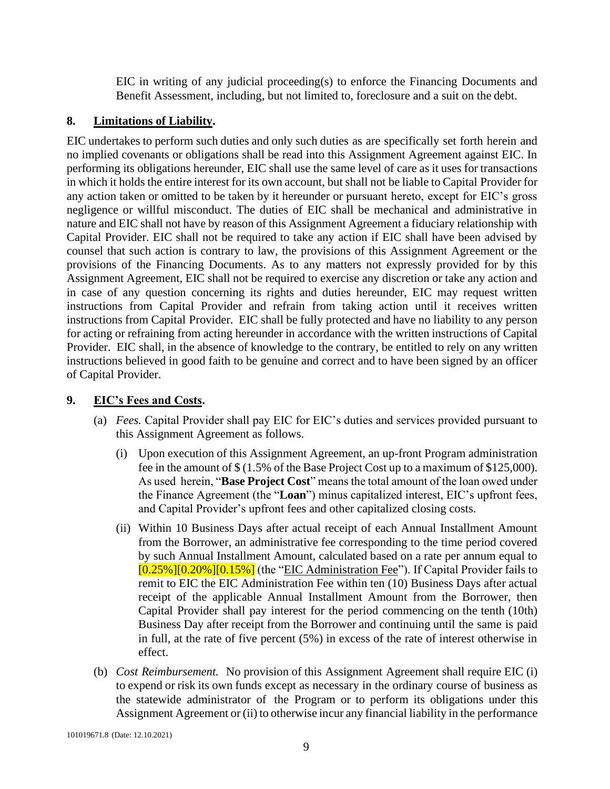EIC in writing of any judicial proceeding(s) to enforce the Financing Documents and Benefit Assessment, including, but not limited to, foreclosure and a suit on the debt.

### <span id="page-10-0"></span>**8. Limitations of Liability.**

EIC undertakes to perform such duties and only such duties as are specifically set forth herein and no implied covenants or obligations shall be read into this Assignment Agreement against EIC. In performing its obligations hereunder, EIC shall use the same level of care as it uses for transactions in which it holds the entire interest for its own account, but shall not be liable to Capital Provider for any action taken or omitted to be taken by it hereunder or pursuant hereto, except for EIC's gross negligence or willful misconduct. The duties of EIC shall be mechanical and administrative in nature and EIC shall not have by reason of this Assignment Agreement a fiduciary relationship with Capital Provider. EIC shall not be required to take any action if EIC shall have been advised by counsel that such action is contrary to law, the provisions of this Assignment Agreement or the provisions of the Financing Documents. As to any matters not expressly provided for by this Assignment Agreement, EIC shall not be required to exercise any discretion or take any action and in case of any question concerning its rights and duties hereunder, EIC may request written instructions from Capital Provider and refrain from taking action until it receives written instructions from Capital Provider. EIC shall be fully protected and have no liability to any person for acting or refraining from acting hereunder in accordance with the written instructions of Capital Provider. EIC shall, in the absence of knowledge to the contrary, be entitled to rely on any written instructions believed in good faith to be genuine and correct and to have been signed by an officer of Capital Provider.

## <span id="page-10-1"></span>**9. EIC's Fees and Costs.**

- <span id="page-10-2"></span>(a) *Fees.* Capital Provider shall pay EIC for EIC's duties and services provided pursuant to this Assignment Agreement as follows.
	- (i) Upon execution of this Assignment Agreement, an up-front Program administration fee in the amount of \$ (1.5% of the Base Project Cost up to a maximum of \$125,000). As used herein, "**Base Project Cost**" means the total amount of the loan owed under the Finance Agreement (the "**Loan**") minus capitalized interest, EIC's upfront fees, and Capital Provider's upfront fees and other capitalized closing costs.
	- (ii) Within 10 Business Days after actual receipt of each Annual Installment Amount from the Borrower, an administrative fee corresponding to the time period covered by such Annual Installment Amount, calculated based on a rate per annum equal to  $[0.25\%]$  $[0.20\%]$  $[0.15\%]$  (the "EIC Administration Fee"). If Capital Provider fails to remit to EIC the EIC Administration Fee within ten (10) Business Days after actual receipt of the applicable Annual Installment Amount from the Borrower, then Capital Provider shall pay interest for the period commencing on the tenth (10th) Business Day after receipt from the Borrower and continuing until the same is paid in full, at the rate of five percent (5%) in excess of the rate of interest otherwise in effect.
- (b) *Cost Reimbursement.* No provision of this Assignment Agreement shall require EIC (i) to expend or risk its own funds except as necessary in the ordinary course of business as the statewide administrator of the Program or to perform its obligations under this Assignment Agreement or (ii) to otherwise incur any financial liability in the performance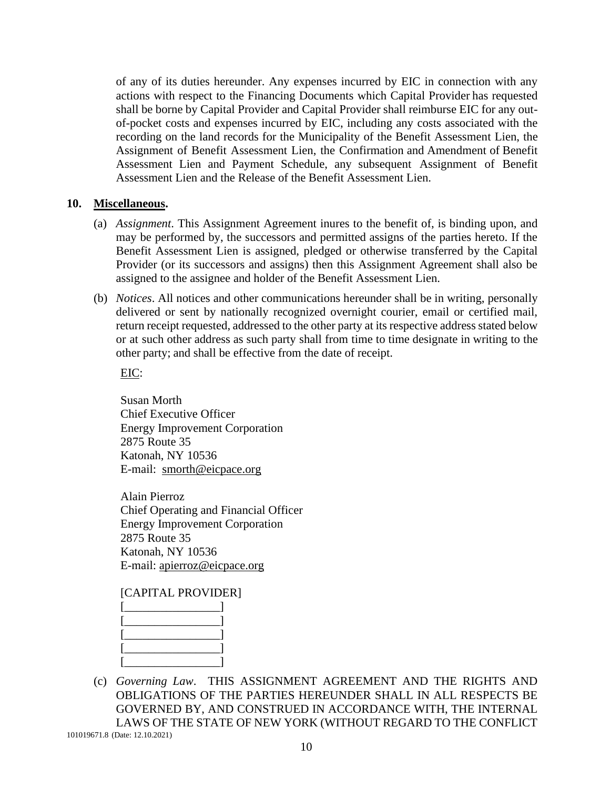of any of its duties hereunder. Any expenses incurred by EIC in connection with any actions with respect to the Financing Documents which Capital Provider has requested shall be borne by Capital Provider and Capital Provider shall reimburse EIC for any outof-pocket costs and expenses incurred by EIC, including any costs associated with the recording on the land records for the Municipality of the Benefit Assessment Lien, the Assignment of Benefit Assessment Lien, the Confirmation and Amendment of Benefit Assessment Lien and Payment Schedule, any subsequent Assignment of Benefit Assessment Lien and the Release of the Benefit Assessment Lien.

#### <span id="page-11-0"></span>**10. Miscellaneous.**

- (a) *Assignment*. This Assignment Agreement inures to the benefit of, is binding upon, and may be performed by, the successors and permitted assigns of the parties hereto. If the Benefit Assessment Lien is assigned, pledged or otherwise transferred by the Capital Provider (or its successors and assigns) then this Assignment Agreement shall also be assigned to the assignee and holder of the Benefit Assessment Lien.
- (b) *Notices*. All notices and other communications hereunder shall be in writing, personally delivered or sent by nationally recognized overnight courier, email or certified mail, return receipt requested, addressed to the other party at its respective address stated below or at such other address as such party shall from time to time designate in writing to the other party; and shall be effective from the date of receipt.

EIC:

Susan Morth Chief Executive Officer Energy Improvement Corporation 2875 Route 35 Katonah, NY 10536 E-mail: [smorth@eicpace.org](mailto:smorth@eicpace.org)

Alain Pierroz Chief Operating and Financial Officer Energy Improvement Corporation 2875 Route 35 Katonah, NY 10536 E-mail: [apierroz@eicpace.org](mailto:apierroz@eicpace.org)

#### [CAPITAL PROVIDER]

(c) *Governing Law*. THIS ASSIGNMENT AGREEMENT AND THE RIGHTS AND OBLIGATIONS OF THE PARTIES HEREUNDER SHALL IN ALL RESPECTS BE GOVERNED BY, AND CONSTRUED IN ACCORDANCE WITH, THE INTERNAL LAWS OF THE STATE OF NEW YORK (WITHOUT REGARD TO THE CONFLICT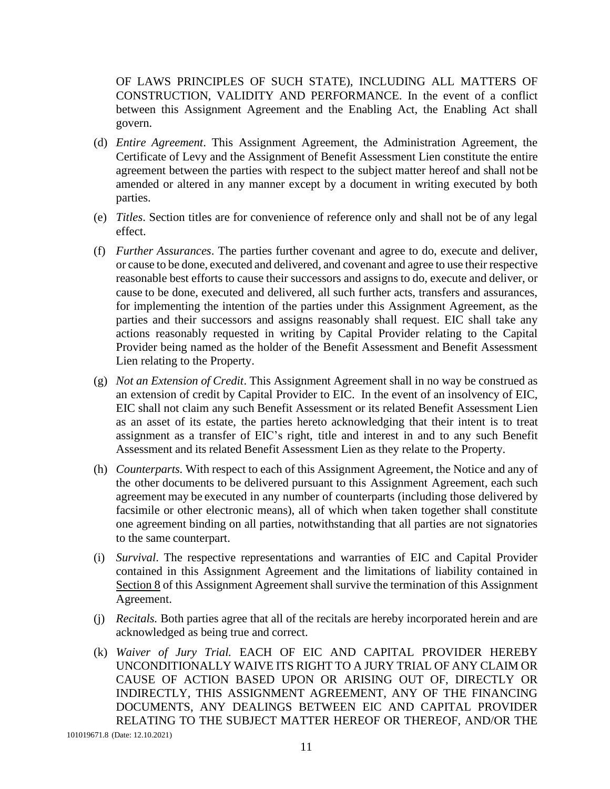OF LAWS PRINCIPLES OF SUCH STATE), INCLUDING ALL MATTERS OF CONSTRUCTION, VALIDITY AND PERFORMANCE. In the event of a conflict between this Assignment Agreement and the Enabling Act, the Enabling Act shall govern.

- (d) *Entire Agreement*. This Assignment Agreement, the Administration Agreement, the Certificate of Levy and the Assignment of Benefit Assessment Lien constitute the entire agreement between the parties with respect to the subject matter hereof and shall not be amended or altered in any manner except by a document in writing executed by both parties.
- (e) *Titles*. Section titles are for convenience of reference only and shall not be of any legal effect.
- (f) *Further Assurances*. The parties further covenant and agree to do, execute and deliver, or cause to be done, executed and delivered, and covenant and agree to use their respective reasonable best efforts to cause their successors and assigns to do, execute and deliver, or cause to be done, executed and delivered, all such further acts, transfers and assurances, for implementing the intention of the parties under this Assignment Agreement, as the parties and their successors and assigns reasonably shall request. EIC shall take any actions reasonably requested in writing by Capital Provider relating to the Capital Provider being named as the holder of the Benefit Assessment and Benefit Assessment Lien relating to the Property.
- (g) *Not an Extension of Credit*. This Assignment Agreement shall in no way be construed as an extension of credit by Capital Provider to EIC. In the event of an insolvency of EIC, EIC shall not claim any such Benefit Assessment or its related Benefit Assessment Lien as an asset of its estate, the parties hereto acknowledging that their intent is to treat assignment as a transfer of EIC's right, title and interest in and to any such Benefit Assessment and its related Benefit Assessment Lien as they relate to the Property.
- (h) *Counterparts.* With respect to each of this Assignment Agreement, the Notice and any of the other documents to be delivered pursuant to this Assignment Agreement, each such agreement may be executed in any number of counterparts (including those delivered by facsimile or other electronic means), all of which when taken together shall constitute one agreement binding on all parties, notwithstanding that all parties are not signatories to the same counterpart.
- (i) *Survival*. The respective representations and warranties of EIC and Capital Provider contained in this Assignment Agreement and the limitations of liability contained in Section 8 of this Assignment Agreement shall survive the termination of this Assignment Agreement.
- (j) *Recitals.* Both parties agree that all of the recitals are hereby incorporated herein and are acknowledged as being true and correct.
- (k) *Waiver of Jury Trial.* EACH OF EIC AND CAPITAL PROVIDER HEREBY UNCONDITIONALLY WAIVE ITS RIGHT TO A JURY TRIAL OF ANY CLAIM OR CAUSE OF ACTION BASED UPON OR ARISING OUT OF, DIRECTLY OR INDIRECTLY, THIS ASSIGNMENT AGREEMENT, ANY OF THE FINANCING DOCUMENTS, ANY DEALINGS BETWEEN EIC AND CAPITAL PROVIDER RELATING TO THE SUBJECT MATTER HEREOF OR THEREOF, AND/OR THE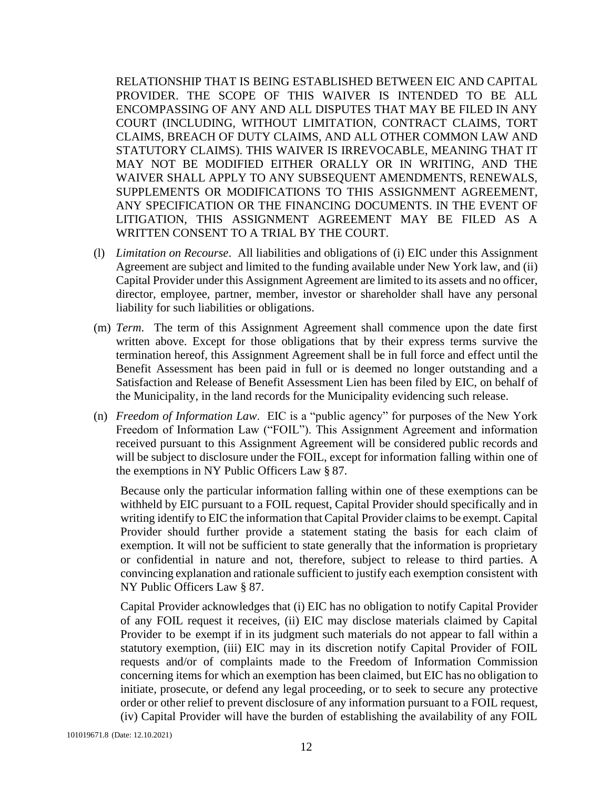RELATIONSHIP THAT IS BEING ESTABLISHED BETWEEN EIC AND CAPITAL PROVIDER. THE SCOPE OF THIS WAIVER IS INTENDED TO BE ALL ENCOMPASSING OF ANY AND ALL DISPUTES THAT MAY BE FILED IN ANY COURT (INCLUDING, WITHOUT LIMITATION, CONTRACT CLAIMS, TORT CLAIMS, BREACH OF DUTY CLAIMS, AND ALL OTHER COMMON LAW AND STATUTORY CLAIMS). THIS WAIVER IS IRREVOCABLE, MEANING THAT IT MAY NOT BE MODIFIED EITHER ORALLY OR IN WRITING, AND THE WAIVER SHALL APPLY TO ANY SUBSEQUENT AMENDMENTS, RENEWALS, SUPPLEMENTS OR MODIFICATIONS TO THIS ASSIGNMENT AGREEMENT, ANY SPECIFICATION OR THE FINANCING DOCUMENTS. IN THE EVENT OF LITIGATION, THIS ASSIGNMENT AGREEMENT MAY BE FILED AS A WRITTEN CONSENT TO A TRIAL BY THE COURT.

- (l) *Limitation on Recourse*. All liabilities and obligations of (i) EIC under this Assignment Agreement are subject and limited to the funding available under New York law, and (ii) Capital Provider under this Assignment Agreement are limited to its assets and no officer, director, employee, partner, member, investor or shareholder shall have any personal liability for such liabilities or obligations.
- (m) *Term*. The term of this Assignment Agreement shall commence upon the date first written above. Except for those obligations that by their express terms survive the termination hereof, this Assignment Agreement shall be in full force and effect until the Benefit Assessment has been paid in full or is deemed no longer outstanding and a Satisfaction and Release of Benefit Assessment Lien has been filed by EIC, on behalf of the Municipality, in the land records for the Municipality evidencing such release.
- (n) *Freedom of Information Law*. EIC is a "public agency" for purposes of the New York Freedom of Information Law ("FOIL"). This Assignment Agreement and information received pursuant to this Assignment Agreement will be considered public records and will be subject to disclosure under the FOIL, except for information falling within one of the exemptions in NY Public Officers Law § 87.

Because only the particular information falling within one of these exemptions can be withheld by EIC pursuant to a FOIL request, Capital Provider should specifically and in writing identify to EIC the information that Capital Provider claimsto be exempt. Capital Provider should further provide a statement stating the basis for each claim of exemption. It will not be sufficient to state generally that the information is proprietary or confidential in nature and not, therefore, subject to release to third parties. A convincing explanation and rationale sufficient to justify each exemption consistent with NY Public Officers Law § 87.

Capital Provider acknowledges that (i) EIC has no obligation to notify Capital Provider of any FOIL request it receives, (ii) EIC may disclose materials claimed by Capital Provider to be exempt if in its judgment such materials do not appear to fall within a statutory exemption, (iii) EIC may in its discretion notify Capital Provider of FOIL requests and/or of complaints made to the Freedom of Information Commission concerning items for which an exemption has been claimed, but EIC has no obligation to initiate, prosecute, or defend any legal proceeding, or to seek to secure any protective order or other relief to prevent disclosure of any information pursuant to a FOIL request, (iv) Capital Provider will have the burden of establishing the availability of any FOIL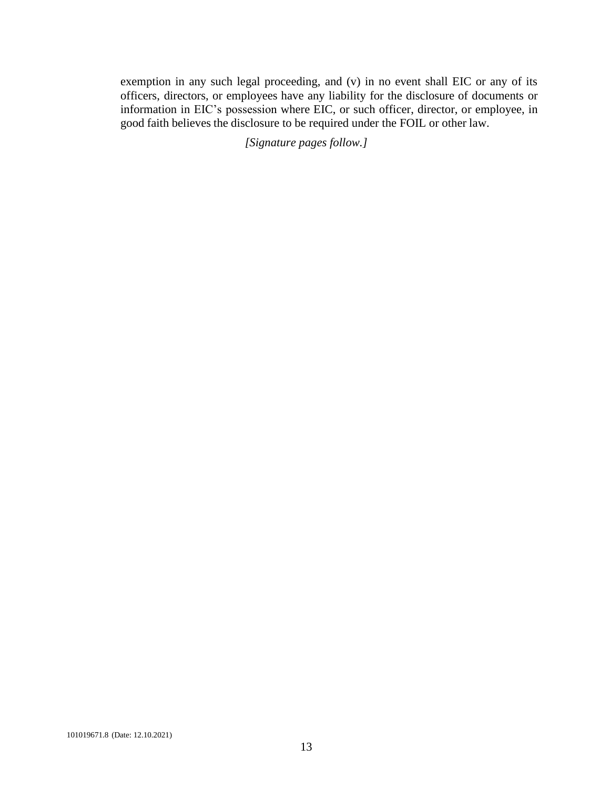exemption in any such legal proceeding, and (v) in no event shall EIC or any of its officers, directors, or employees have any liability for the disclosure of documents or information in EIC's possession where EIC, or such officer, director, or employee, in good faith believes the disclosure to be required under the FOIL or other law.

*[Signature pages follow.]*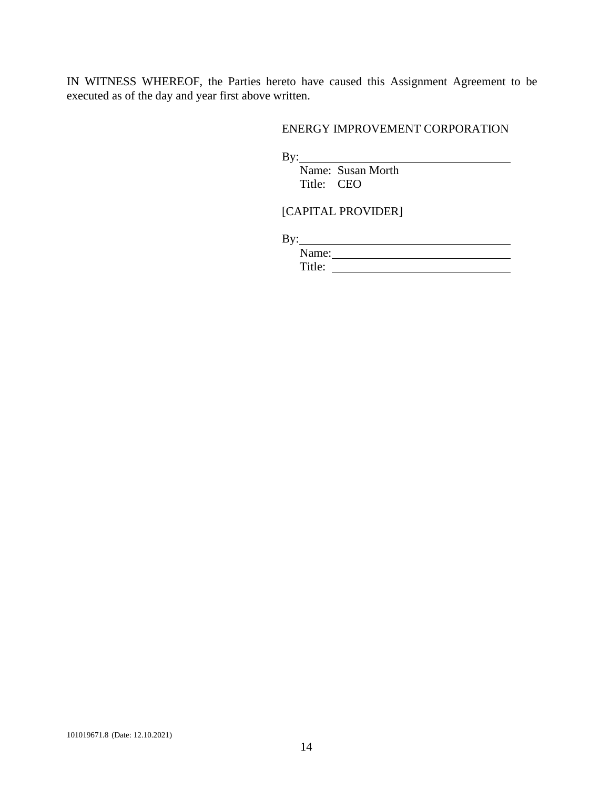IN WITNESS WHEREOF, the Parties hereto have caused this Assignment Agreement to be executed as of the day and year first above written.

#### ENERGY IMPROVEMENT CORPORATION

By:

Name: Susan Morth Title: CEO

# [CAPITAL PROVIDER]

By:

Name: Title: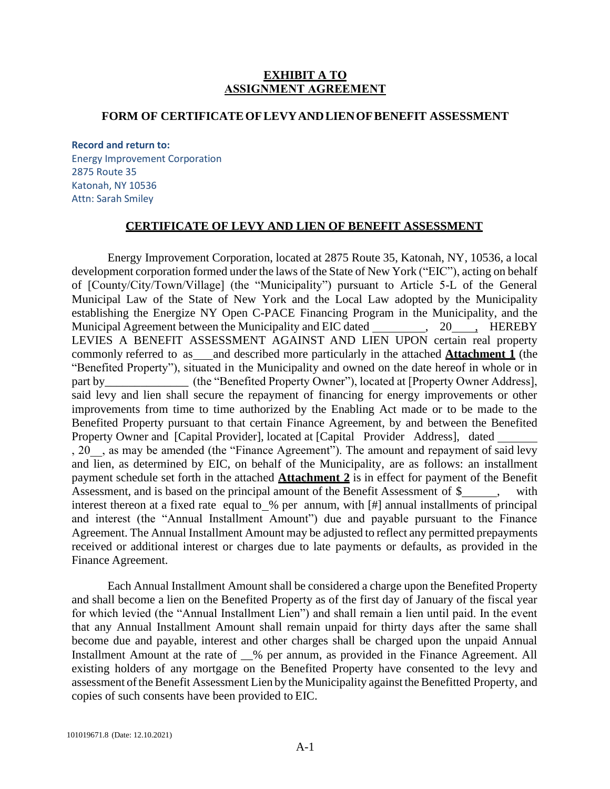#### **EXHIBIT A TO ASSIGNMENT AGREEMENT**

#### **FORM OF CERTIFICATEOFLEVYANDLIENOFBENEFIT ASSESSMENT**

**Record and return to:** Energy Improvement Corporation 2875 Route 35 Katonah, NY 10536 Attn: Sarah Smiley

#### **CERTIFICATE OF LEVY AND LIEN OF BENEFIT ASSESSMENT**

Energy Improvement Corporation, located at 2875 Route 35, Katonah, NY, 10536, a local development corporation formed under the laws of the State of New York ("EIC"), acting on behalf of [County/City/Town/Village] (the "Municipality") pursuant to Article 5-L of the General Municipal Law of the State of New York and the Local Law adopted by the Municipality establishing the Energize NY Open C-PACE Financing Program in the Municipality, and the Municipal Agreement between the Municipality and EIC dated , 20, HEREBY LEVIES A BENEFIT ASSESSMENT AGAINST AND LIEN UPON certain real property commonly referred to as and described more particularly in the attached **Attachment 1** (the "Benefited Property"), situated in the Municipality and owned on the date hereof in whole or in part by\_\_\_\_\_\_\_\_\_\_\_\_\_\_\_ (the "Benefited Property Owner"), located at [Property Owner Address], said levy and lien shall secure the repayment of financing for energy improvements or other improvements from time to time authorized by the Enabling Act made or to be made to the Benefited Property pursuant to that certain Finance Agreement, by and between the Benefited Property Owner and [Capital Provider], located at [Capital Provider Address], dated , 20 , as may be amended (the "Finance Agreement"). The amount and repayment of said levy and lien, as determined by EIC, on behalf of the Municipality, are as follows: an installment payment schedule set forth in the attached **Attachment 2** is in effect for payment of the Benefit Assessment, and is based on the principal amount of the Benefit Assessment of \$, with interest thereon at a fixed rate equal to % per annum, with [#] annual installments of principal and interest (the "Annual Installment Amount") due and payable pursuant to the Finance Agreement. The Annual Installment Amount may be adjusted to reflect any permitted prepayments received or additional interest or charges due to late payments or defaults, as provided in the Finance Agreement.

Each Annual Installment Amount shall be considered a charge upon the Benefited Property and shall become a lien on the Benefited Property as of the first day of January of the fiscal year for which levied (the "Annual Installment Lien") and shall remain a lien until paid. In the event that any Annual Installment Amount shall remain unpaid for thirty days after the same shall become due and payable, interest and other charges shall be charged upon the unpaid Annual Installment Amount at the rate of \_\_% per annum, as provided in the Finance Agreement. All existing holders of any mortgage on the Benefited Property have consented to the levy and assessment of the Benefit Assessment Lien by the Municipality against the Benefitted Property, and copies of such consents have been provided to EIC.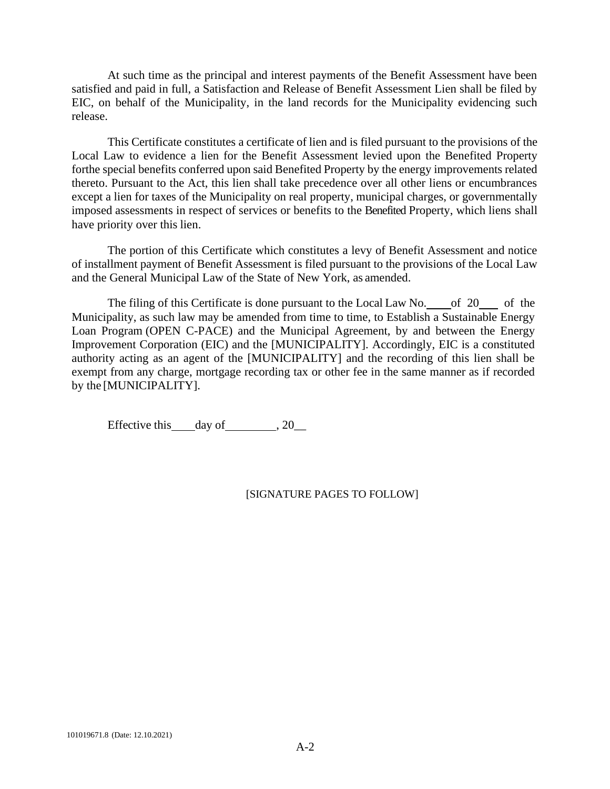At such time as the principal and interest payments of the Benefit Assessment have been satisfied and paid in full, a Satisfaction and Release of Benefit Assessment Lien shall be filed by EIC, on behalf of the Municipality, in the land records for the Municipality evidencing such release.

This Certificate constitutes a certificate of lien and is filed pursuant to the provisions of the Local Law to evidence a lien for the Benefit Assessment levied upon the Benefited Property forthe special benefits conferred upon said Benefited Property by the energy improvements related thereto. Pursuant to the Act, this lien shall take precedence over all other liens or encumbrances except a lien for taxes of the Municipality on real property, municipal charges, or governmentally imposed assessments in respect of services or benefits to the Benefited Property, which liens shall have priority over this lien.

The portion of this Certificate which constitutes a levy of Benefit Assessment and notice of installment payment of Benefit Assessment is filed pursuant to the provisions of the Local Law and the General Municipal Law of the State of New York, as amended.

The filing of this Certificate is done pursuant to the Local Law No. of 20 of the Municipality, as such law may be amended from time to time, to Establish a Sustainable Energy Loan Program (OPEN C-PACE) and the Municipal Agreement, by and between the Energy Improvement Corporation (EIC) and the [MUNICIPALITY]. Accordingly, EIC is a constituted authority acting as an agent of the [MUNICIPALITY] and the recording of this lien shall be exempt from any charge, mortgage recording tax or other fee in the same manner as if recorded by the [MUNICIPALITY].

Effective this day of  $\qquad \qquad .20$ 

#### [SIGNATURE PAGES TO FOLLOW]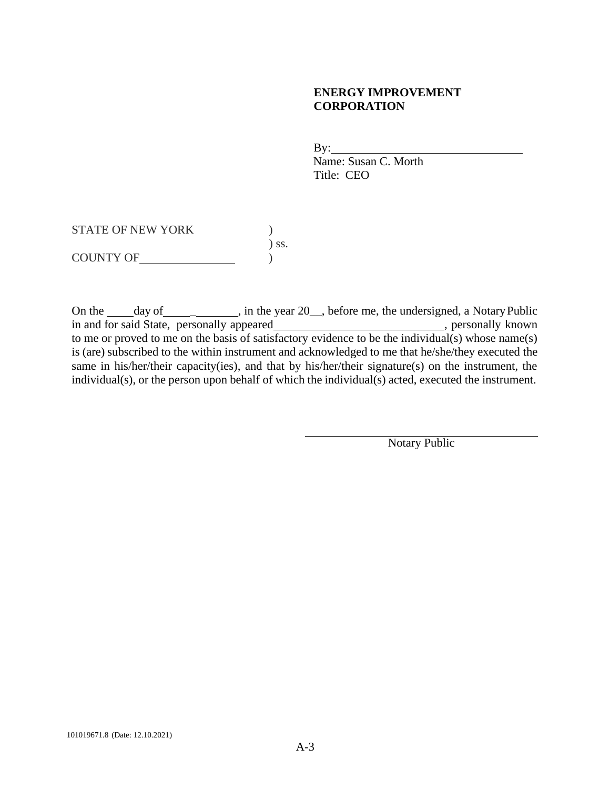## **ENERGY IMPROVEMENT CORPORATION**

 $By:$ Name: Susan C. Morth Title: CEO

STATE OF NEW YORK  $)$ ) ss.  $\begin{array}{c} \text{COUNTY OF} \end{array}$  ) s

On the day of \_\_\_\_\_\_\_, in the year 20\_, before me, the undersigned, a Notary Public in and for said State, personally appeared , personally known , personally known to me or proved to me on the basis of satisfactory evidence to be the individual(s) whose name(s) is (are) subscribed to the within instrument and acknowledged to me that he/she/they executed the same in his/her/their capacity(ies), and that by his/her/their signature(s) on the instrument, the individual(s), or the person upon behalf of which the individual(s) acted, executed the instrument.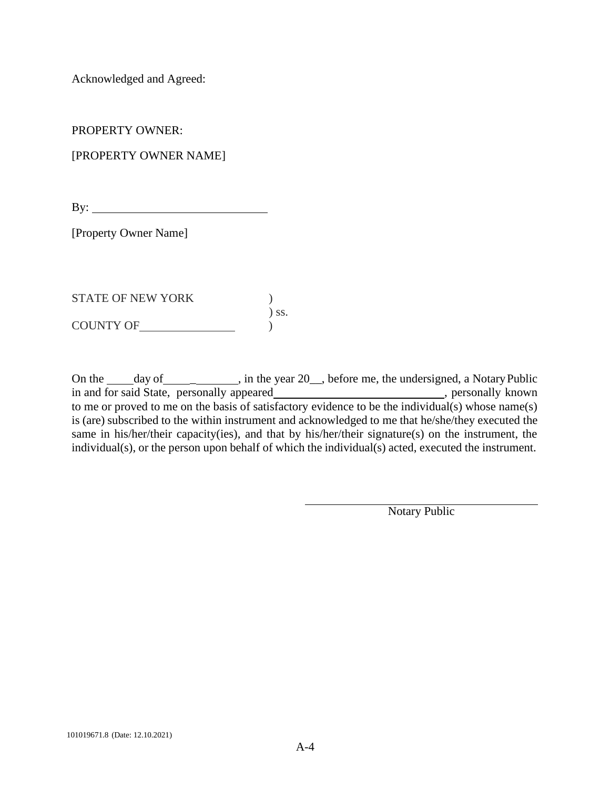Acknowledged and Agreed:

PROPERTY OWNER:

[PROPERTY OWNER NAME]

By:  $\qquad \qquad$ 

[Property Owner Name]

STATE OF NEW YORK  $\qquad \qquad$  ) ) ss. COUNTY OF )

On the day of \_\_\_\_\_\_, in the year 20\_, before me, the undersigned, a Notary Public in and for said State, personally appeared , personally known , personally known to me or proved to me on the basis of satisfactory evidence to be the individual(s) whose name(s) is (are) subscribed to the within instrument and acknowledged to me that he/she/they executed the same in his/her/their capacity(ies), and that by his/her/their signature(s) on the instrument, the individual(s), or the person upon behalf of which the individual(s) acted, executed the instrument.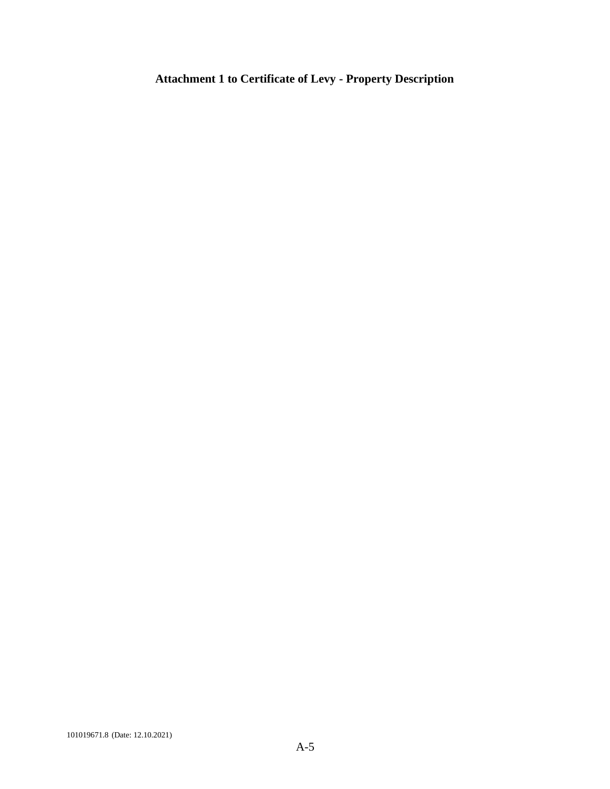# **Attachment 1 to Certificate of Levy - Property Description**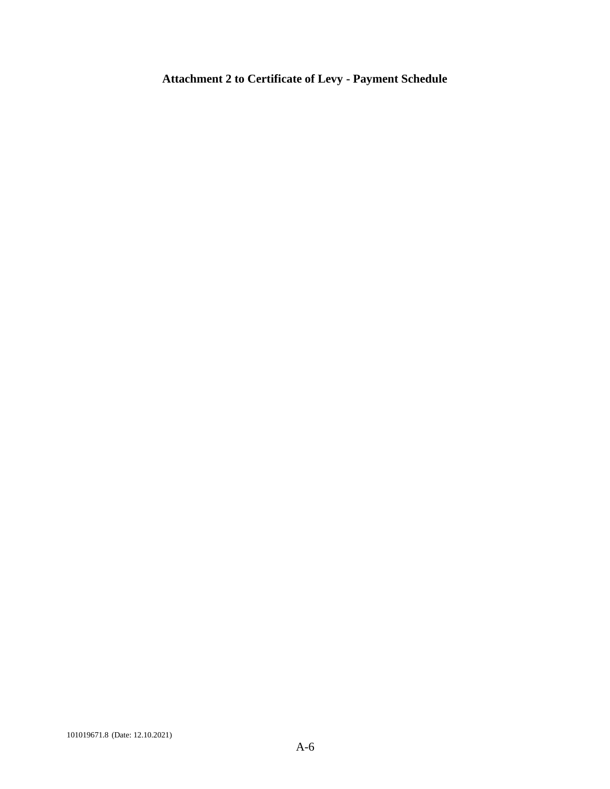# **Attachment 2 to Certificate of Levy - Payment Schedule**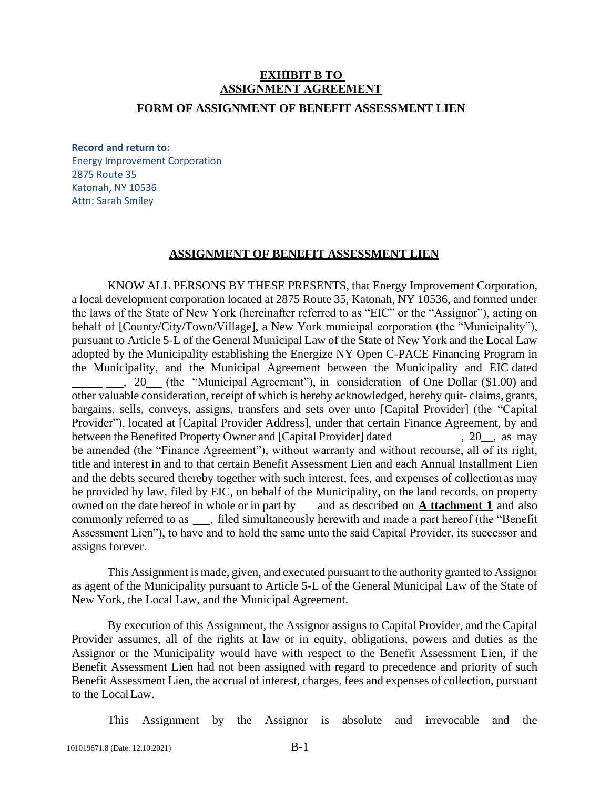# **EXHIBIT B TO ASSIGNMENT AGREEMENT**

#### **FORM OF ASSIGNMENT OF BENEFIT ASSESSMENT LIEN**

#### **Record and return to:**

Energy Improvement Corporation 2875 Route 35 Katonah, NY 10536 Attn: Sarah Smiley

#### **ASSIGNMENT OF BENEFIT ASSESSMENT LIEN**

KNOW ALL PERSONS BY THESE PRESENTS, that Energy Improvement Corporation, a local development corporation located at 2875 Route 35, Katonah, NY 10536, and formed under the laws of the State of New York (hereinafter referred to as "EIC" or the "Assignor"), acting on behalf of [County/City/Town/Village], a New York municipal corporation (the "Municipality"), pursuant to Article 5-L of the General Municipal Law of the State of New York and the Local Law adopted by the Municipality establishing the Energize NY Open C-PACE Financing Program in the Municipality, and the Municipal Agreement between the Municipality and EIC dated , 20 (the "Municipal Agreement"), in consideration of One Dollar (\$1.00) and other valuable consideration, receipt of which is hereby acknowledged, hereby quit- claims, grants, bargains, sells, conveys, assigns, transfers and sets over unto [Capital Provider] (the "Capital Provider"), located at [Capital Provider Address], under that certain Finance Agreement, by and between the Benefited Property Owner and [Capital Provider] dated , 20, as may be amended (the "Finance Agreement"), without warranty and without recourse, all of its right, title and interest in and to that certain Benefit Assessment Lien and each Annual Installment Lien and the debts secured thereby together with such interest, fees, and expenses of collection as may be provided by law, filed by EIC, on behalf of the Municipality, on the land records, on property owned on the date hereof in whole or in part by and as described on **A ttachment 1** and also commonly referred to as , filed simultaneously herewith and made a part hereof (the "Benefit Assessment Lien"), to have and to hold the same unto the said Capital Provider, its successor and assigns forever.

This Assignment is made, given, and executed pursuant to the authority granted to Assignor as agent of the Municipality pursuant to Article 5-L of the General Municipal Law of the State of New York, the Local Law, and the Municipal Agreement.

By execution of this Assignment, the Assignor assigns to Capital Provider, and the Capital Provider assumes, all of the rights at law or in equity, obligations, powers and duties as the Assignor or the Municipality would have with respect to the Benefit Assessment Lien, if the Benefit Assessment Lien had not been assigned with regard to precedence and priority of such Benefit Assessment Lien, the accrual of interest, charges, fees and expenses of collection, pursuant to the LocalLaw.

This Assignment by the Assignor is absolute and irrevocable and the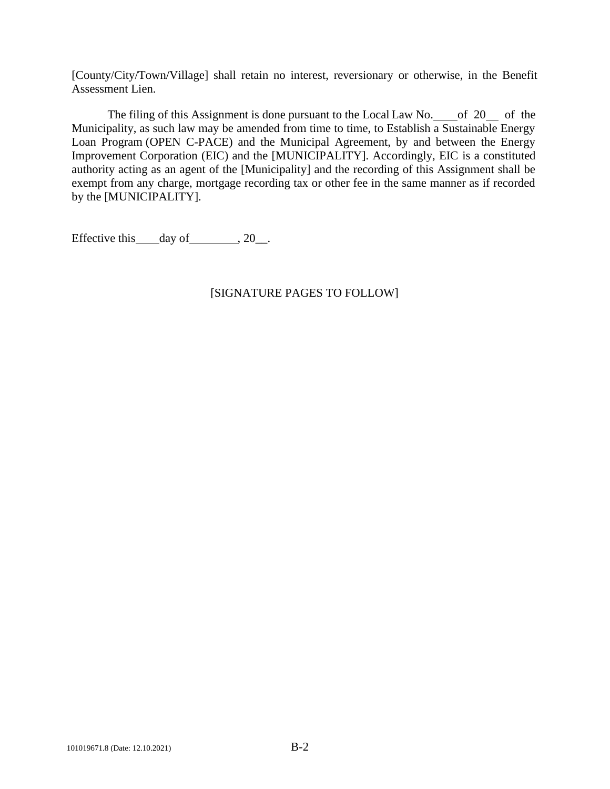[County/City/Town/Village] shall retain no interest, reversionary or otherwise, in the Benefit Assessment Lien.

The filing of this Assignment is done pursuant to the Local Law No.  $\qquad$  of 20  $\qquad$  of the Municipality, as such law may be amended from time to time, to Establish a Sustainable Energy Loan Program (OPEN C-PACE) and the Municipal Agreement, by and between the Energy Improvement Corporation (EIC) and the [MUNICIPALITY]. Accordingly, EIC is a constituted authority acting as an agent of the [Municipality] and the recording of this Assignment shall be exempt from any charge, mortgage recording tax or other fee in the same manner as if recorded by the [MUNICIPALITY].

Effective this  $\_\_day\$  of  $\_\_$ , 20 $\_\_$ .

## [SIGNATURE PAGES TO FOLLOW]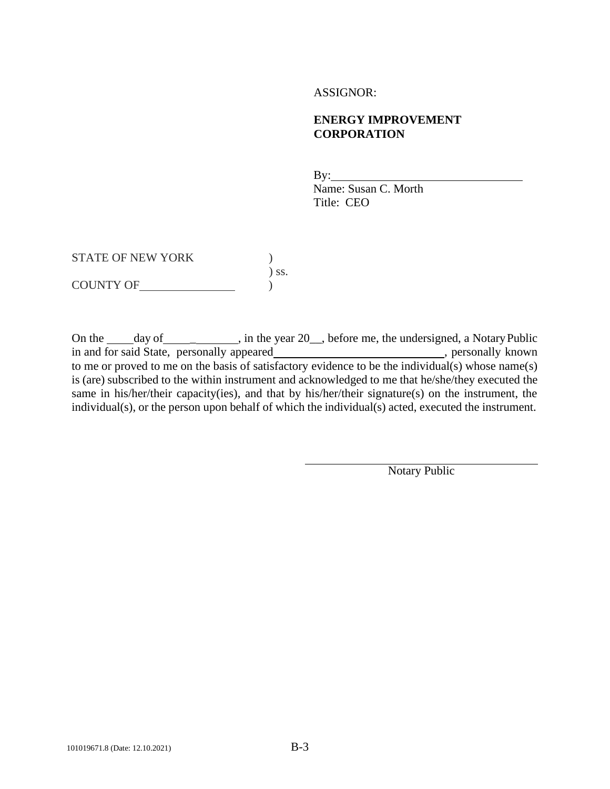#### ASSIGNOR:

#### **ENERGY IMPROVEMENT CORPORATION**

By: Name: Susan C. Morth Title: CEO

STATE OF NEW YORK  $)$ ) ss. COUNTY OF )

On the <u>day of definition of ear</u>, in the year 20<sub>\_\_</sub>, before me, the undersigned, a Notary Public in and for said State, personally appeared\_\_\_\_\_\_\_\_\_\_\_\_\_\_\_\_\_\_\_\_\_\_\_\_\_\_\_\_, personally known to me or proved to me on the basis of satisfactory evidence to be the individual(s) whose name(s) is (are) subscribed to the within instrument and acknowledged to me that he/she/they executed the same in his/her/their capacity(ies), and that by his/her/their signature(s) on the instrument, the individual(s), or the person upon behalf of which the individual(s) acted, executed the instrument.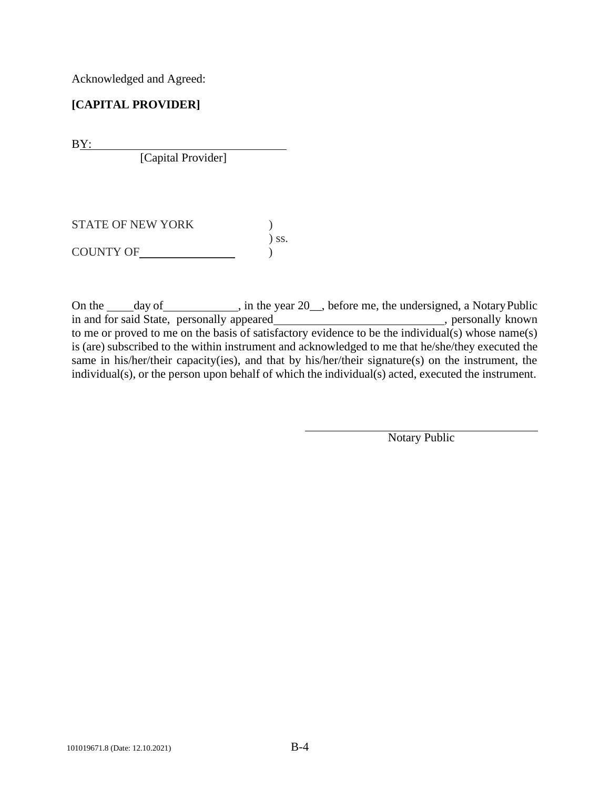Acknowledged and Agreed:

# **[CAPITAL PROVIDER]**

BY:

[Capital Provider]

| <b>STATE OF NEW YORK</b> |            |
|--------------------------|------------|
|                          | $\sum$ SS. |
| <b>COUNTY OF</b>         |            |

On the \_\_\_\_\_ day of \_\_\_\_\_\_\_\_\_\_\_, in the year 20\_\_, before me, the undersigned, a NotaryPublic in and for said State, personally appeared\_\_\_\_\_\_\_\_\_\_\_\_\_\_\_\_\_\_\_\_\_\_\_\_\_\_\_\_, personally known to me or proved to me on the basis of satisfactory evidence to be the individual(s) whose name(s) is (are) subscribed to the within instrument and acknowledged to me that he/she/they executed the same in his/her/their capacity(ies), and that by his/her/their signature(s) on the instrument, the individual(s), or the person upon behalf of which the individual(s) acted, executed the instrument.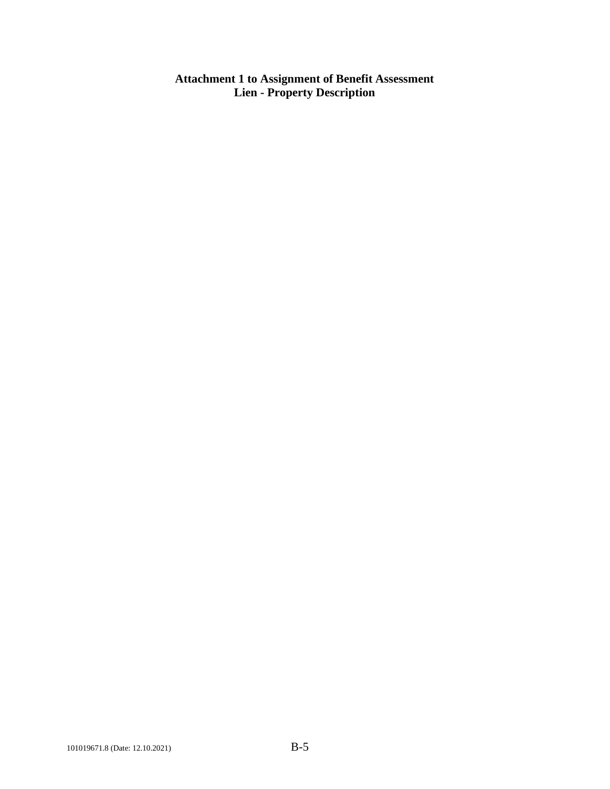**Attachment 1 to Assignment of Benefit Assessment Lien - Property Description**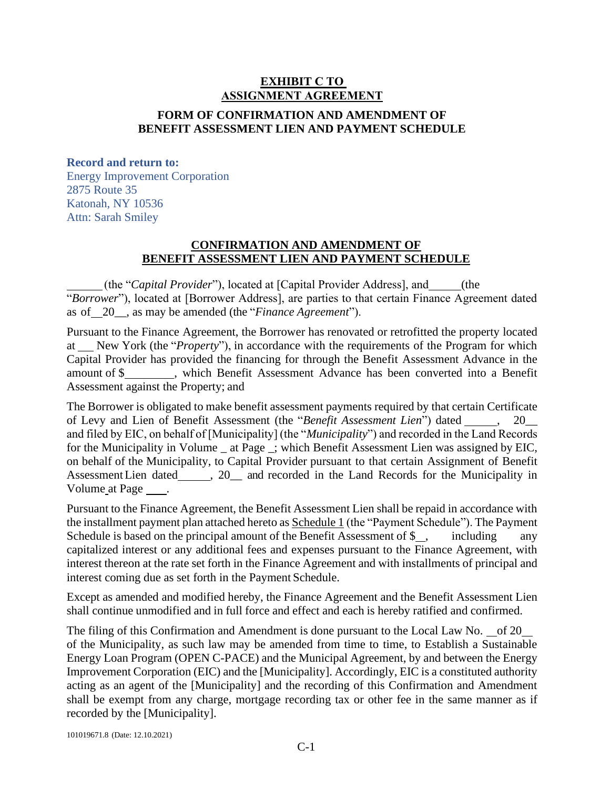# **EXHIBIT C TO ASSIGNMENT AGREEMENT**

## **FORM OF CONFIRMATION AND AMENDMENT OF BENEFIT ASSESSMENT LIEN AND PAYMENT SCHEDULE**

#### **Record and return to:**

Energy Improvement Corporation 2875 Route 35 Katonah, NY 10536 Attn: Sarah Smiley

#### **CONFIRMATION AND AMENDMENT OF BENEFIT ASSESSMENT LIEN AND PAYMENT SCHEDULE**

(the "*Capital Provider*"), located at [Capital Provider Address], and (the "*Borrower*"), located at [Borrower Address], are parties to that certain Finance Agreement dated as of 20\_\_, as may be amended (the "*Finance Agreement*").

Pursuant to the Finance Agreement, the Borrower has renovated or retrofitted the property located at New York (the "*Property*"), in accordance with the requirements of the Program for which Capital Provider has provided the financing for through the Benefit Assessment Advance in the amount of \$\_\_\_\_\_\_\_\_, which Benefit Assessment Advance has been converted into a Benefit Assessment against the Property; and

The Borrower is obligated to make benefit assessment payments required by that certain Certificate of Levy and Lien of Benefit Assessment (the "Benefit Assessment Lien") dated \_\_\_\_\_, 20\_ and filed by EIC, on behalf of [Municipality] (the "*Municipality*") and recorded in the Land Records for the Municipality in Volume \_ at Page \_; which Benefit Assessment Lien was assigned by EIC, on behalf of the Municipality, to Capital Provider pursuant to that certain Assignment of Benefit Assessment Lien dated , 20 and recorded in the Land Records for the Municipality in Volume at Page  $\qquad$ .

Pursuant to the Finance Agreement, the Benefit Assessment Lien shall be repaid in accordance with the installment payment plan attached hereto as Schedule 1 (the "Payment Schedule"). The Payment Schedule is based on the principal amount of the Benefit Assessment of  $\$\,$ , including capitalized interest or any additional fees and expenses pursuant to the Finance Agreement, with interest thereon at the rate set forth in the Finance Agreement and with installments of principal and interest coming due as set forth in the Payment Schedule.

Except as amended and modified hereby, the Finance Agreement and the Benefit Assessment Lien shall continue unmodified and in full force and effect and each is hereby ratified and confirmed.

The filing of this Confirmation and Amendment is done pursuant to the Local Law No. of 20 of the Municipality, as such law may be amended from time to time, to Establish a Sustainable Energy Loan Program (OPEN C-PACE) and the Municipal Agreement, by and between the Energy Improvement Corporation (EIC) and the [Municipality]. Accordingly, EIC is a constituted authority acting as an agent of the [Municipality] and the recording of this Confirmation and Amendment shall be exempt from any charge, mortgage recording tax or other fee in the same manner as if recorded by the [Municipality].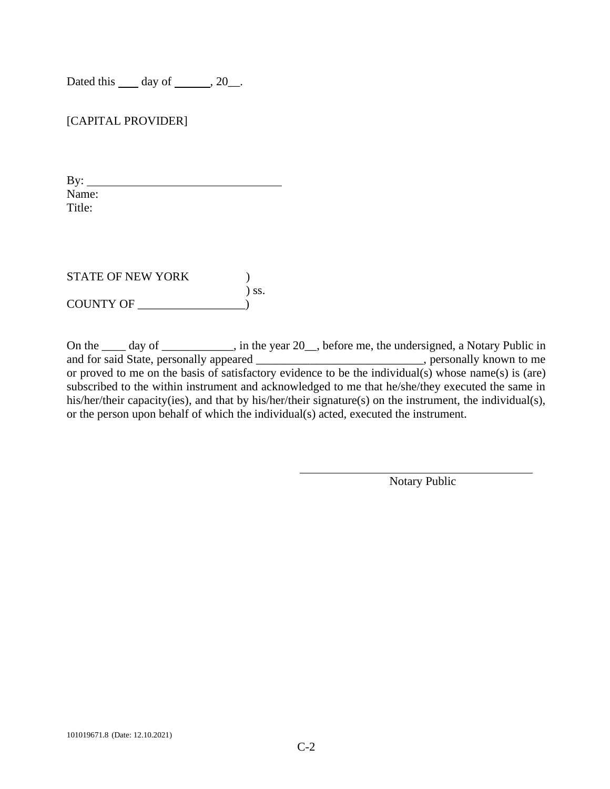Dated this  $\rule{1em}{0.15mm}$  day of  $\rule{1em}{0.15mm}$ , 20 $\rule{1em}{0.15mm}$ .

[CAPITAL PROVIDER]

By:  $\qquad \qquad$ Name: Title:

STATE OF NEW YORK  $)$ ) ss. COUNTY OF \_\_\_\_\_\_\_\_\_\_\_\_\_\_\_\_\_\_)

On the \_\_\_\_ day of \_\_\_\_\_\_\_\_\_, in the year 20\_, before me, the undersigned, a Notary Public in and for said State, personally appeared \_\_\_\_\_\_\_\_\_\_\_\_\_\_\_\_\_\_\_\_\_\_\_\_\_\_\_\_, personally known to me or proved to me on the basis of satisfactory evidence to be the individual(s) whose name(s) is (are) subscribed to the within instrument and acknowledged to me that he/she/they executed the same in his/her/their capacity(ies), and that by his/her/their signature(s) on the instrument, the individual(s), or the person upon behalf of which the individual(s) acted, executed the instrument.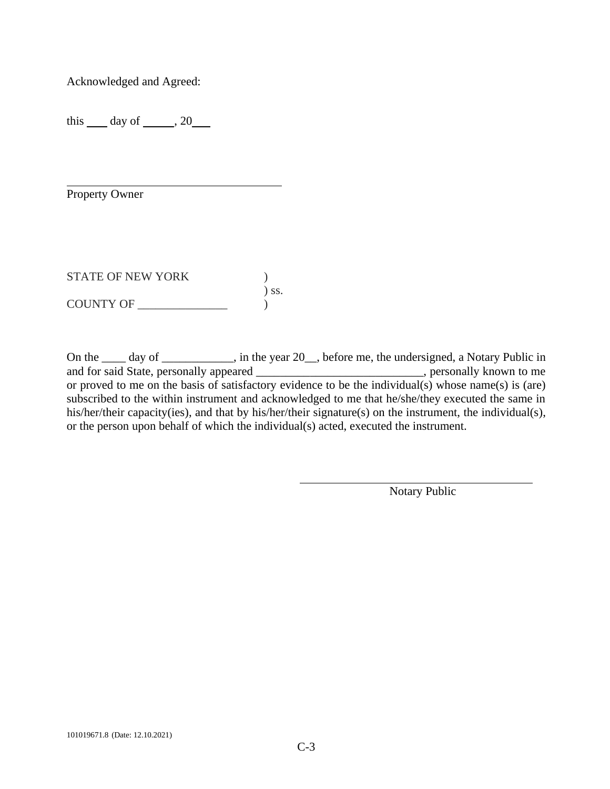Acknowledged and Agreed:

this  $\_\_$  day of  $\_\_$ , 20 $\_\_$ 

Property Owner

STATE OF NEW YORK  $)$ ) ss. COUNTY OF \_\_\_\_\_\_\_\_\_\_\_\_\_\_\_ )

On the \_\_\_\_ day of \_\_\_\_\_\_\_\_\_, in the year 20\_, before me, the undersigned, a Notary Public in and for said State, personally appeared \_\_\_\_\_\_\_\_\_\_\_\_\_\_\_\_\_\_\_\_\_\_\_\_\_\_\_\_, personally known to me or proved to me on the basis of satisfactory evidence to be the individual(s) whose name(s) is (are) subscribed to the within instrument and acknowledged to me that he/she/they executed the same in his/her/their capacity(ies), and that by his/her/their signature(s) on the instrument, the individual(s), or the person upon behalf of which the individual(s) acted, executed the instrument.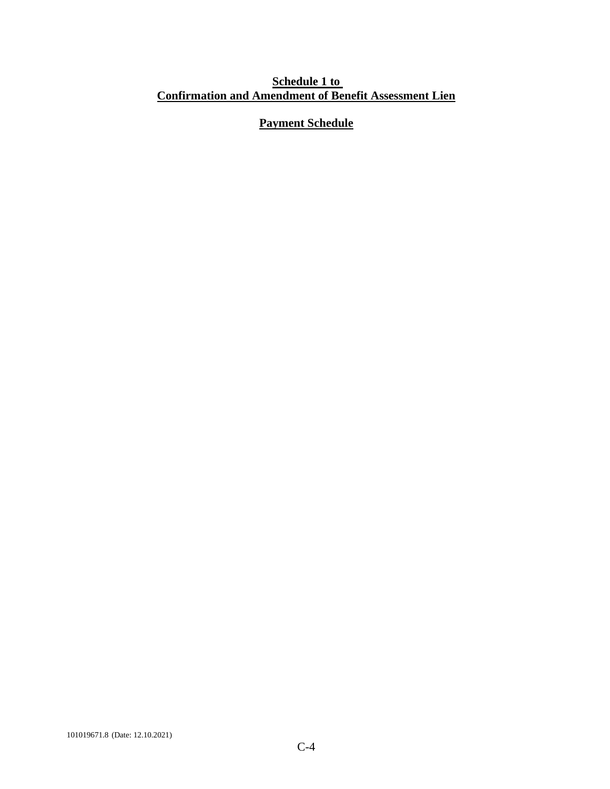## **Schedule 1 to Confirmation and Amendment of Benefit Assessment Lien**

# **Payment Schedule**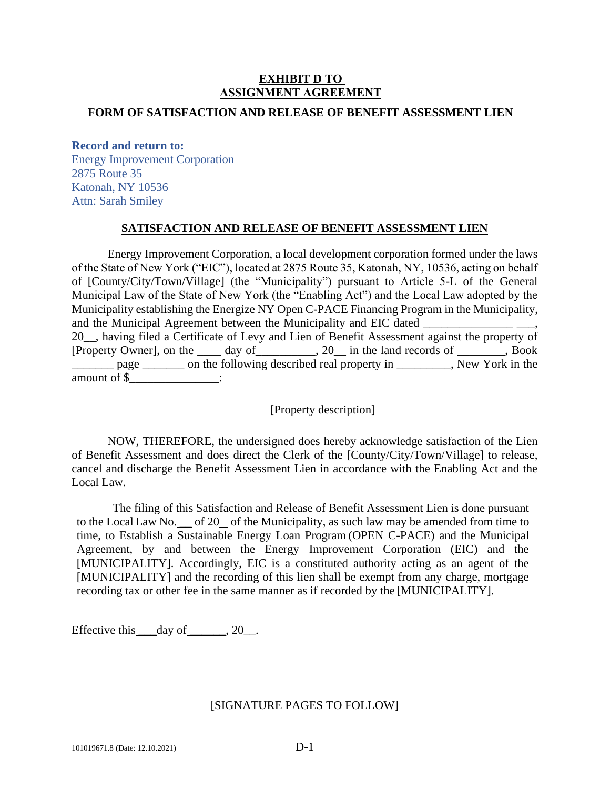## **EXHIBIT D TO ASSIGNMENT AGREEMENT**

#### **FORM OF SATISFACTION AND RELEASE OF BENEFIT ASSESSMENT LIEN**

#### **Record and return to:**

Energy Improvement Corporation 2875 Route 35 Katonah, NY 10536 Attn: Sarah Smiley

#### **SATISFACTION AND RELEASE OF BENEFIT ASSESSMENT LIEN**

Energy Improvement Corporation, a local development corporation formed under the laws of the State of New York ("EIC"), located at 2875 Route 35, Katonah, NY, 10536, acting on behalf of [County/City/Town/Village] (the "Municipality") pursuant to Article 5-L of the General Municipal Law of the State of New York (the "Enabling Act") and the Local Law adopted by the Municipality establishing the Energize NY Open C-PACE Financing Program in the Municipality, and the Municipal Agreement between the Municipality and EIC dated 20\_\_, having filed a Certificate of Levy and Lien of Benefit Assessment against the property of [Property Owner], on the \_\_\_\_ day of\_\_\_\_\_\_\_\_\_\_, 20\_\_ in the land records of \_\_\_\_\_\_\_\_, Book page \_\_\_\_\_\_ on the following described real property in \_\_\_\_\_\_\_, New York in the amount of \$\_\_\_\_\_\_\_\_\_\_\_\_\_\_\_:

[Property description]

NOW, THEREFORE, the undersigned does hereby acknowledge satisfaction of the Lien of Benefit Assessment and does direct the Clerk of the [County/City/Town/Village] to release, cancel and discharge the Benefit Assessment Lien in accordance with the Enabling Act and the Local Law.

The filing of this Satisfaction and Release of Benefit Assessment Lien is done pursuant to the Local Law No. \_\_ of 20 of the Municipality, as such law may be amended from time to time, to Establish a Sustainable Energy Loan Program (OPEN C-PACE) and the Municipal Agreement, by and between the Energy Improvement Corporation (EIC) and the [MUNICIPALITY]. Accordingly, EIC is a constituted authority acting as an agent of the [MUNICIPALITY] and the recording of this lien shall be exempt from any charge, mortgage recording tax or other fee in the same manner as if recorded by the [MUNICIPALITY].

Effective this  $\_\text{day of} \_\text{gx}, 20 \_\text{gx}.$ 

#### [SIGNATURE PAGES TO FOLLOW]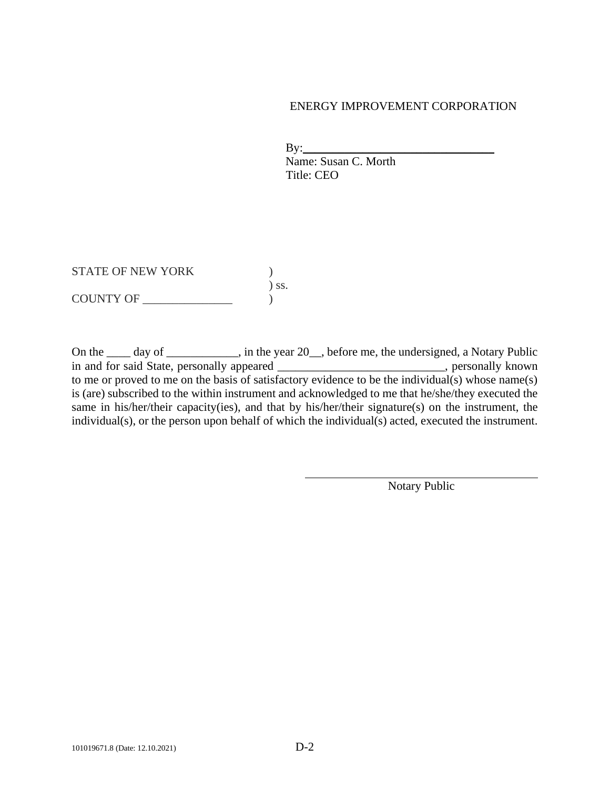#### ENERGY IMPROVEMENT CORPORATION

 $\mathbf{By:}\qquad\qquad$  Name: Susan C. Morth Title: CEO

STATE OF NEW YORK  $)$ ) ss.  $\begin{array}{c}\n\text{COUNTY OF} \\
\hline\n\end{array}$ 

On the \_\_\_\_ day of \_\_\_\_\_\_\_\_\_, in the year 20\_, before me, the undersigned, a Notary Public in and for said State, personally appeared \_\_\_\_\_\_\_\_\_\_\_\_\_\_\_\_\_\_\_\_\_\_\_\_\_\_\_\_, personally known to me or proved to me on the basis of satisfactory evidence to be the individual(s) whose name(s) is (are) subscribed to the within instrument and acknowledged to me that he/she/they executed the same in his/her/their capacity(ies), and that by his/her/their signature(s) on the instrument, the individual(s), or the person upon behalf of which the individual(s) acted, executed the instrument.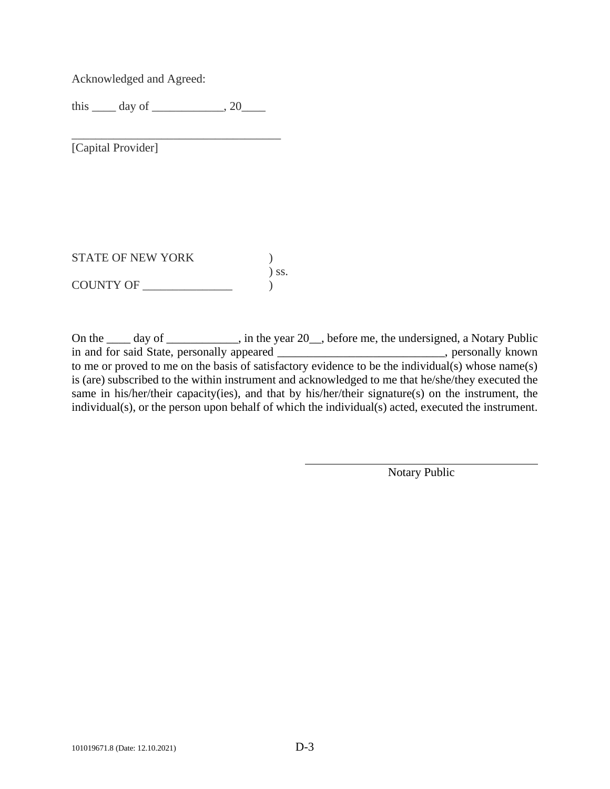Acknowledged and Agreed:

this  $\rule{1em}{0.15mm}$  day of  $\rule{1em}{0.15mm}$ , 20 $\rule{1em}{0.15mm}$ 

\_\_\_\_\_\_\_\_\_\_\_\_\_\_\_\_\_\_\_\_\_\_\_\_\_\_\_\_\_\_\_\_\_\_\_

[Capital Provider]

STATE OF NEW YORK  $)$ ) ss. COUNTY OF \_\_\_\_\_\_\_\_\_\_\_\_\_\_\_ )

On the \_\_\_\_ day of \_\_\_\_\_\_\_\_\_, in the year 20\_, before me, the undersigned, a Notary Public in and for said State, personally appeared \_\_\_\_\_\_\_\_\_\_\_\_\_\_\_\_\_\_\_\_\_\_, personally known to me or proved to me on the basis of satisfactory evidence to be the individual(s) whose name(s) is (are) subscribed to the within instrument and acknowledged to me that he/she/they executed the same in his/her/their capacity(ies), and that by his/her/their signature(s) on the instrument, the individual(s), or the person upon behalf of which the individual(s) acted, executed the instrument.